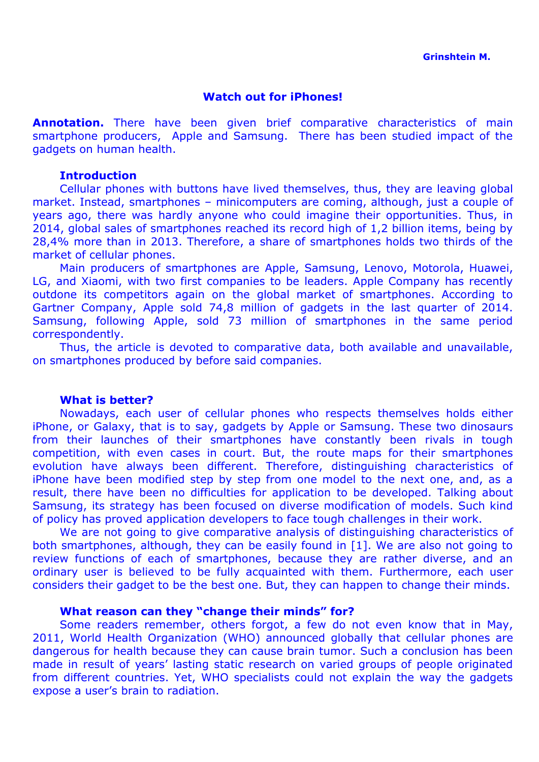### **Watch out for iPhones!**

**Annotation.** There have been given brief comparative characteristics of main smartphone producers, Apple and Samsung. There has been studied impact of the gadgets on human health.

#### **Introduction**

Cellular phones with buttons have lived themselves, thus, they are leaving global market. Instead, smartphones – minicomputers are coming, although, just a couple of years ago, there was hardly anyone who could imagine their opportunities. Thus, in 2014, global sales of smartphones reached its record high of 1,2 billion items, being by 28,4% more than in 2013. Therefore, a share of smartphones holds two thirds of the market of cellular phones.

Main producers of smartphones are Apple, Samsung, Lenovo, Motorola, Huawei, LG, and Xiaomi, with two first companies to be leaders. Apple Company has recently outdone its competitors again on the global market of smartphones. According to Gartner Company, Apple sold 74,8 million of gadgets in the last quarter of 2014. Samsung, following Apple, sold 73 million of smartphones in the same period correspondently.

Thus, the article is devoted to comparative data, both available and unavailable, on smartphones produced by before said companies.

#### **What is better?**

Nowadays, each user of cellular phones who respects themselves holds either iPhone, or Galaxy, that is to say, gadgets by Apple or Samsung. These two dinosaurs from their launches of their smartphones have constantly been rivals in tough competition, with even cases in court. But, the route maps for their smartphones evolution have always been different. Therefore, distinguishing characteristics of iPhone have been modified step by step from one model to the next one, and, as a result, there have been no difficulties for application to be developed. Talking about Samsung, its strategy has been focused on diverse modification of models. Such kind of policy has proved application developers to face tough challenges in their work.

We are not going to give comparative analysis of distinguishing characteristics of both smartphones, although, they can be easily found in [1]. We are also not going to review functions of each of smartphones, because they are rather diverse, and an ordinary user is believed to be fully acquainted with them. Furthermore, each user considers their gadget to be the best one. But, they can happen to change their minds.

## **What reason can they "change their minds" for?**

Some readers remember, others forgot, a few do not even know that in May, 2011, World Health Organization (WHO) announced globally that cellular phones are dangerous for health because they can cause brain tumor. Such a conclusion has been made in result of years' lasting static research on varied groups of people originated from different countries. Yet, WHO specialists could not explain the way the gadgets expose a user's brain to radiation.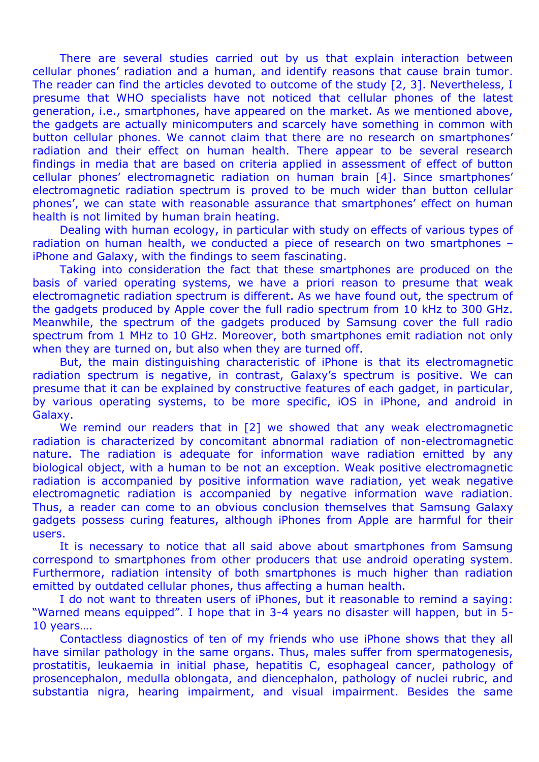There are several studies carried out by us that explain interaction between cellular phones' radiation and a human, and identify reasons that cause brain tumor. The reader can find the articles devoted to outcome of the study [2, 3]. Nevertheless, I presume that WHO specialists have not noticed that cellular phones of the latest generation, i.e., smartphones, have appeared on the market. As we mentioned above, the gadgets are actually minicomputers and scarcely have something in common with button cellular phones. We cannot claim that there are no research on smartphones' radiation and their effect on human health. There appear to be several research findings in media that are based on criteria applied in assessment of effect of button cellular phones' electromagnetic radiation on human brain [4]. Since smartphones' electromagnetic radiation spectrum is proved to be much wider than button cellular phones', we can state with reasonable assurance that smartphones' effect on human health is not limited by human brain heating.

Dealing with human ecology, in particular with study on effects of various types of radiation on human health, we conducted a piece of research on two smartphones – iPhone and Galaxy, with the findings to seem fascinating.

Taking into consideration the fact that these smartphones are produced on the basis of varied operating systems, we have a priori reason to presume that weak electromagnetic radiation spectrum is different. As we have found out, the spectrum of the gadgets produced by Apple cover the full radio spectrum from 10 kHz to 300 GHz. Meanwhile, the spectrum of the gadgets produced by Samsung cover the full radio spectrum from 1 MHz to 10 GHz. Moreover, both smartphones emit radiation not only when they are turned on, but also when they are turned off.

But, the main distinguishing characteristic of iPhone is that its electromagnetic radiation spectrum is negative, in contrast, Galaxy's spectrum is positive. We can presume that it can be explained by constructive features of each gadget, in particular, by various operating systems, to be more specific, iOS in iPhone, and android in Galaxy.

We remind our readers that in [2] we showed that any weak electromagnetic radiation is characterized by concomitant abnormal radiation of non-electromagnetic nature. The radiation is adequate for information wave radiation emitted by any biological object, with a human to be not an exception. Weak positive electromagnetic radiation is accompanied by positive information wave radiation, yet weak negative electromagnetic radiation is accompanied by negative information wave radiation. Thus, a reader can come to an obvious conclusion themselves that Samsung Galaxy gadgets possess curing features, although iPhones from Apple are harmful for their users.

It is necessary to notice that all said above about smartphones from Samsung correspond to smartphones from other producers that use android operating system. Furthermore, radiation intensity of both smartphones is much higher than radiation emitted by outdated cellular phones, thus affecting a human health.

I do not want to threaten users of iPhones, but it reasonable to remind a saying: "Warned means equipped". I hope that in 3-4 years no disaster will happen, but in 5- 10 years….

Contactless diagnostics of ten of my friends who use iPhone shows that they all have similar pathology in the same organs. Thus, males suffer from spermatogenesis, prostatitis, leukaemia in initial phase, hepatitis C, esophageal cancer, pathology of prosencephalon, medulla oblongata, and diencephalon, pathology of nuclei rubric, and substantia nigra, hearing impairment, and visual impairment. Besides the same